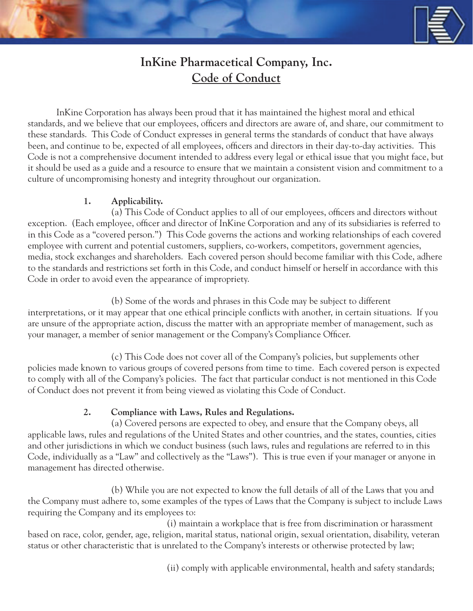# **InKine Pharmacetical Company, Inc. Code of Conduct**

 InKine Corporation has always been proud that it has maintained the highest moral and ethical standards, and we believe that our employees, officers and directors are aware of, and share, our commitment to these standards. This Code of Conduct expresses in general terms the standards of conduct that have always been, and continue to be, expected of all employees, officers and directors in their day-to-day activities. This Code is not a comprehensive document intended to address every legal or ethical issue that you might face, but it should be used as a guide and a resource to ensure that we maintain a consistent vision and commitment to a culture of uncompromising honesty and integrity throughout our organization.

#### **1. Applicability.**

 (a) This Code of Conduct applies to all of our employees, officers and directors without exception. (Each employee, officer and director of InKine Corporation and any of its subsidiaries is referred to in this Code as a "covered person.") This Code governs the actions and working relationships of each covered employee with current and potential customers, suppliers, co-workers, competitors, government agencies, media, stock exchanges and shareholders. Each covered person should become familiar with this Code, adhere to the standards and restrictions set forth in this Code, and conduct himself or herself in accordance with this Code in order to avoid even the appearance of impropriety.

(b) Some of the words and phrases in this Code may be subject to different

interpretations, or it may appear that one ethical principle conflicts with another, in certain situations. If you are unsure of the appropriate action, discuss the matter with an appropriate member of management, such as your manager, a member of senior management or the Company's Compliance Officer.

 (c) This Code does not cover all of the Company's policies, but supplements other policies made known to various groups of covered persons from time to time. Each covered person is expected to comply with all of the Company's policies. The fact that particular conduct is not mentioned in this Code of Conduct does not prevent it from being viewed as violating this Code of Conduct.

# **2. Compliance with Laws, Rules and Regulations.**

 (a) Covered persons are expected to obey, and ensure that the Company obeys, all applicable laws, rules and regulations of the United States and other countries, and the states, counties, cities and other jurisdictions in which we conduct business (such laws, rules and regulations are referred to in this Code, individually as a "Law" and collectively as the "Laws"). This is true even if your manager or anyone in management has directed otherwise.

 (b) While you are not expected to know the full details of all of the Laws that you and the Company must adhere to, some examples of the types of Laws that the Company is subject to include Laws requiring the Company and its employees to:

 (i) maintain a workplace that is free from discrimination or harassment based on race, color, gender, age, religion, marital status, national origin, sexual orientation, disability, veteran status or other characteristic that is unrelated to the Company's interests or otherwise protected by law;

(ii) comply with applicable environmental, health and safety standards;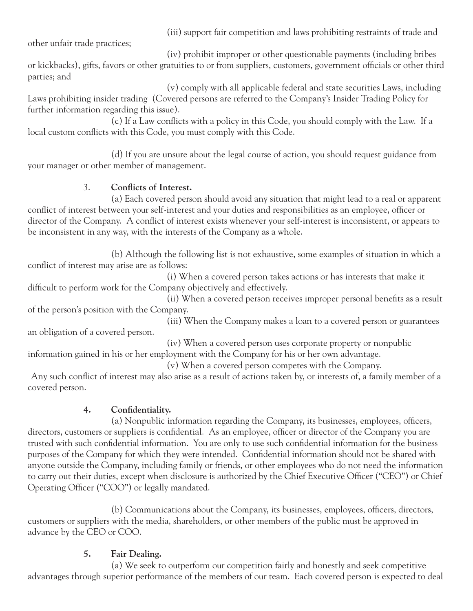(iii) support fair competition and laws prohibiting restraints of trade and

other unfair trade practices;

 (iv) prohibit improper or other questionable payments (including bribes or kickbacks), gifts, favors or other gratuities to or from suppliers, customers, government officials or other third parties; and

 (v) comply with all applicable federal and state securities Laws, including Laws prohibiting insider trading (Covered persons are referred to the Company's Insider Trading Policy for further information regarding this issue).

 (c) If a Law conflicts with a policy in this Code, you should comply with the Law. If a local custom conflicts with this Code, you must comply with this Code.

 (d) If you are unsure about the legal course of action, you should request guidance from your manager or other member of management.

# 3. **Conflicts of Interest.**

 (a) Each covered person should avoid any situation that might lead to a real or apparent conflict of interest between your self-interest and your duties and responsibilities as an employee, officer or director of the Company. A conflict of interest exists whenever your self-interest is inconsistent, or appears to be inconsistent in any way, with the interests of the Company as a whole.

 (b) Although the following list is not exhaustive, some examples of situation in which a conflict of interest may arise are as follows:

 (i) When a covered person takes actions or has interests that make it difficult to perform work for the Company objectively and effectively.

 (ii) When a covered person receives improper personal benefits as a result of the person's position with the Company.

 (iii) When the Company makes a loan to a covered person or guarantees an obligation of a covered person.

 (iv) When a covered person uses corporate property or nonpublic information gained in his or her employment with the Company for his or her own advantage.

(v) When a covered person competes with the Company.

 Any such conflict of interest may also arise as a result of actions taken by, or interests of, a family member of a covered person.

# **4. Confidentiality.**

 (a) Nonpublic information regarding the Company, its businesses, employees, officers, directors, customers or suppliers is confidential. As an employee, officer or director of the Company you are trusted with such confidential information. You are only to use such confidential information for the business purposes of the Company for which they were intended. Confidential information should not be shared with anyone outside the Company, including family or friends, or other employees who do not need the information to carry out their duties, except when disclosure is authorized by the Chief Executive Officer ("CEO") or Chief Operating Officer ("COO") or legally mandated.

 (b) Communications about the Company, its businesses, employees, officers, directors, customers or suppliers with the media, shareholders, or other members of the public must be approved in advance by the CEO or COO.

# **5. Fair Dealing.**

 (a) We seek to outperform our competition fairly and honestly and seek competitive advantages through superior performance of the members of our team. Each covered person is expected to deal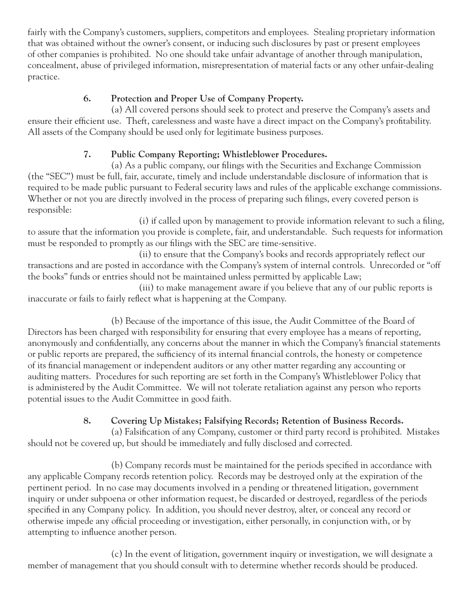fairly with the Company's customers, suppliers, competitors and employees. Stealing proprietary information that was obtained without the owner's consent, or inducing such disclosures by past or present employees of other companies is prohibited. No one should take unfair advantage of another through manipulation, concealment, abuse of privileged information, misrepresentation of material facts or any other unfair-dealing practice.

# **6. Protection and Proper Use of Company Property.**

 (a) All covered persons should seek to protect and preserve the Company's assets and ensure their efficient use. Theft, carelessness and waste have a direct impact on the Company's profitability. All assets of the Company should be used only for legitimate business purposes.

# **7. Public Company Reporting; Whistleblower Procedures.**

 (a) As a public company, our filings with the Securities and Exchange Commission (the "SEC") must be full, fair, accurate, timely and include understandable disclosure of information that is required to be made public pursuant to Federal security laws and rules of the applicable exchange commissions. Whether or not you are directly involved in the process of preparing such filings, every covered person is responsible:

 (i) if called upon by management to provide information relevant to such a filing, to assure that the information you provide is complete, fair, and understandable. Such requests for information must be responded to promptly as our filings with the SEC are time-sensitive.

 (ii) to ensure that the Company's books and records appropriately reflect our transactions and are posted in accordance with the Company's system of internal controls. Unrecorded or "off the books" funds or entries should not be maintained unless permitted by applicable Law;

 (iii) to make management aware if you believe that any of our public reports is inaccurate or fails to fairly reflect what is happening at the Company.

 (b) Because of the importance of this issue, the Audit Committee of the Board of Directors has been charged with responsibility for ensuring that every employee has a means of reporting, anonymously and confidentially, any concerns about the manner in which the Company's financial statements or public reports are prepared, the sufficiency of its internal financial controls, the honesty or competence of its financial management or independent auditors or any other matter regarding any accounting or auditing matters. Procedures for such reporting are set forth in the Company's Whistleblower Policy that is administered by the Audit Committee. We will not tolerate retaliation against any person who reports potential issues to the Audit Committee in good faith.

# **8. Covering Up Mistakes; Falsifying Records; Retention of Business Records.**

 (a) Falsification of any Company, customer or third party record is prohibited. Mistakes should not be covered up, but should be immediately and fully disclosed and corrected.

 (b) Company records must be maintained for the periods specified in accordance with any applicable Company records retention policy. Records may be destroyed only at the expiration of the pertinent period. In no case may documents involved in a pending or threatened litigation, government inquiry or under subpoena or other information request, be discarded or destroyed, regardless of the periods specified in any Company policy. In addition, you should never destroy, alter, or conceal any record or otherwise impede any official proceeding or investigation, either personally, in conjunction with, or by attempting to influence another person.

 (c) In the event of litigation, government inquiry or investigation, we will designate a member of management that you should consult with to determine whether records should be produced.